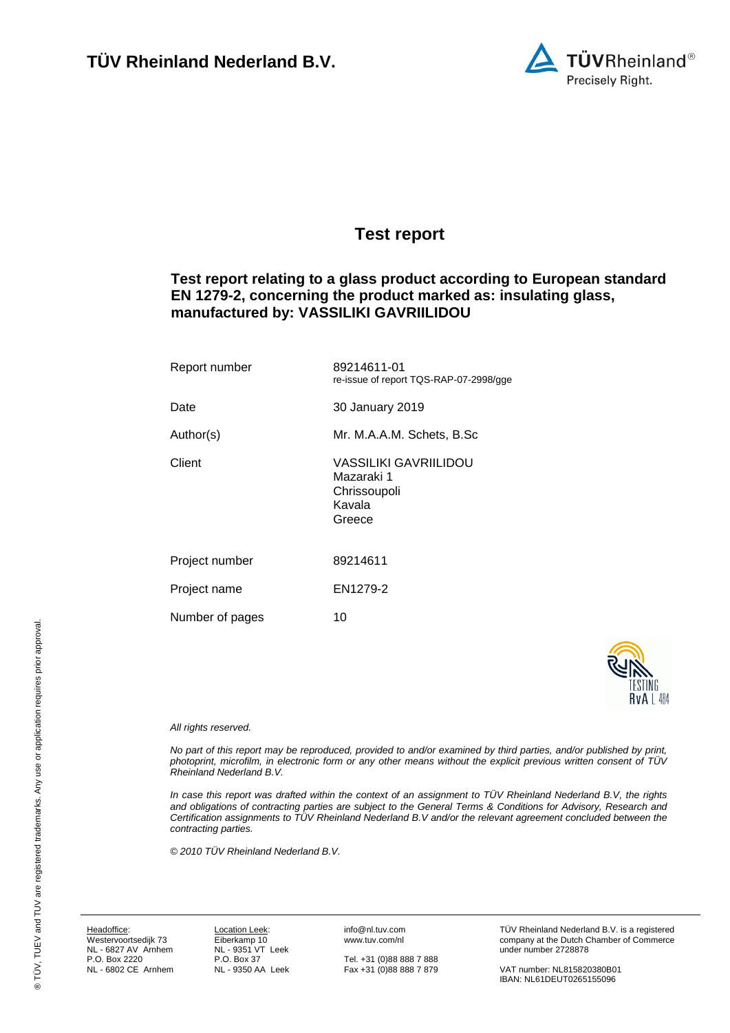

# <span id="page-0-8"></span><span id="page-0-3"></span><span id="page-0-0"></span>**Test report**

# **Test report relating to a glass product according to European standard EN 1279-2, concerning the product marked as: insulating glass, manufactured by: VASSILIKI GAVRIILIDOU**

<span id="page-0-9"></span><span id="page-0-7"></span><span id="page-0-6"></span><span id="page-0-5"></span><span id="page-0-4"></span><span id="page-0-1"></span>

| Report number   | 89214611-01<br>re-issue of report TQS-RAP-07-2998/gge                   |
|-----------------|-------------------------------------------------------------------------|
| Date            | 30 January 2019                                                         |
| Author(s)       | Mr. M.A.A.M. Schets, B.Sc                                               |
| Client          | VASSILIKI GAVRIILIDOU<br>Mazaraki 1<br>Chrissoupoli<br>Kavala<br>Greece |
| Project number  | 89214611                                                                |
| Project name    | EN1279-2                                                                |
| Number of pages | 10                                                                      |



#### <span id="page-0-2"></span>*All rights reserved.*

*No part of this report may be reproduced, provided to and/or examined by third parties, and/or published by print, photoprint, microfilm, in electronic form or any other means without the explicit previous written consent of TÜV Rheinland Nederland B.V.*

*In case this report was drafted within the context of an assignment to TÜV Rheinland Nederland B.V, the rights and obligations of contracting parties are subject to the General Terms & Conditions for Advisory, Research and Certification assignments to TÜV Rheinland Nederland B.V and/or the relevant agreement concluded between the contracting parties.* 

*© 2010 TÜV Rheinland Nederland B.V.*

Headoffice: Westervoortsedijk 73 NL - 6827 AV Arnhem P.O. Box 2220 NL - 6802 CE Arnhem

Location Leek: Eiberkamp 10 NL - 9351 VT Leek P.O. Box 37 NL - 9350 AA Leek info@nl.tuv.com www.tuv.com/nl

Tel. +31 (0)88 888 7 888 Fax +31 (0)88 888 7 879 TÜV Rheinland Nederland B.V. is a registered company at the Dutch Chamber of Commerce under number 2728878

VAT number: NL815820380B01 IBAN: NL61DEUT0265155096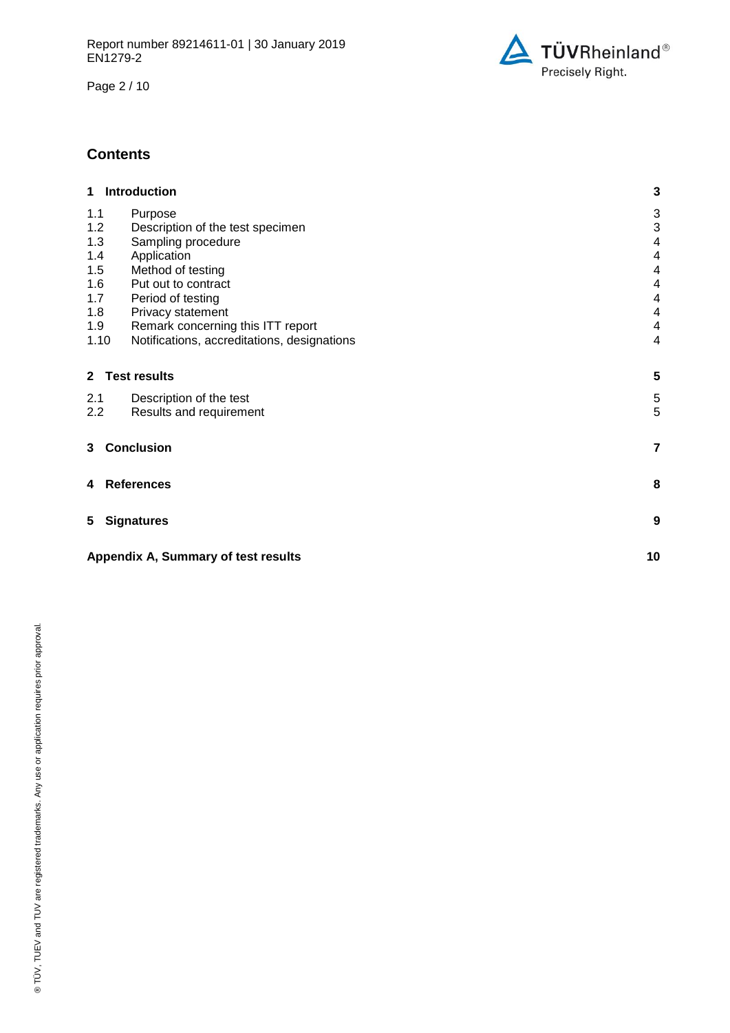Page 2 / 10



# **Contents**

| 1 Introduction                                      | 3                       |
|-----------------------------------------------------|-------------------------|
| 1.1<br>Purpose                                      | 3                       |
| 1.2<br>Description of the test specimen             | 3                       |
| 1.3<br>Sampling procedure                           | 4                       |
| 1.4<br>Application                                  | 4                       |
| 1.5<br>Method of testing                            | 4                       |
| 1.6<br>Put out to contract                          | 4                       |
| 1.7<br>Period of testing                            | 4                       |
| 1.8<br>Privacy statement                            | 4                       |
| Remark concerning this ITT report<br>1.9            | 4                       |
| 1.10<br>Notifications, accreditations, designations | $\overline{\mathbf{4}}$ |
| <b>Test results</b><br>$2^{\circ}$                  | 5                       |
| 2.1<br>Description of the test                      | 5                       |
| 2.2<br>Results and requirement                      | 5                       |
| <b>Conclusion</b><br>3                              | $\overline{\mathbf{r}}$ |
| <b>References</b><br>4                              | 8                       |
| 5<br><b>Signatures</b>                              | 9                       |
| Appendix A, Summary of test results                 | 10                      |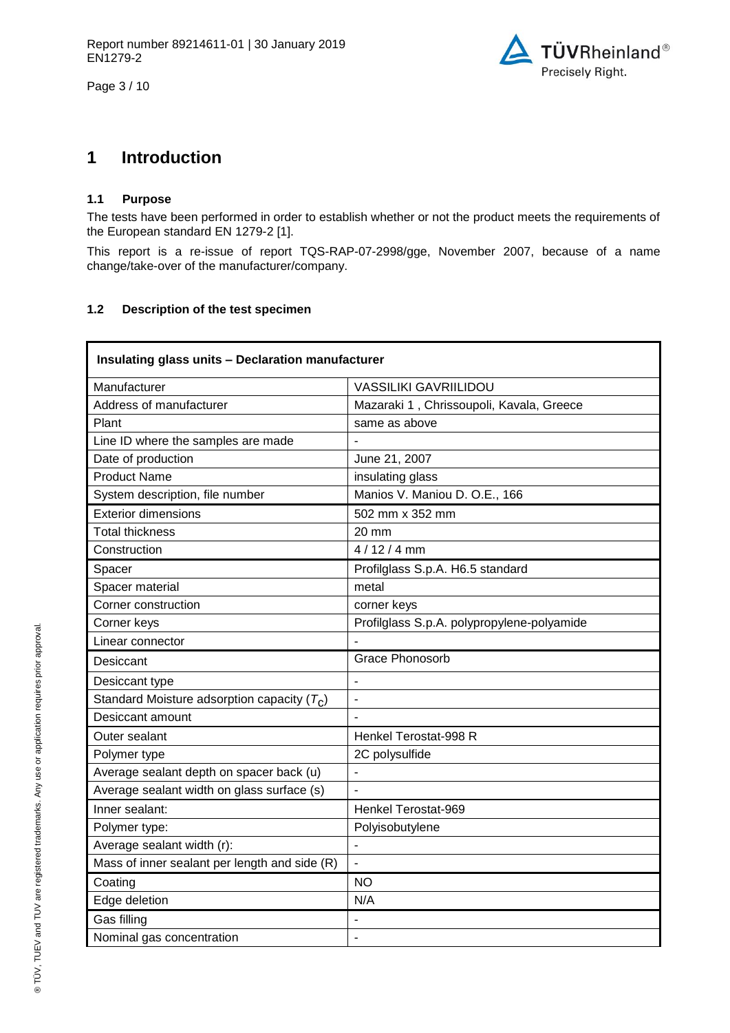Page 3 / 10



# **1 Introduction**

## **1.1 Purpose**

The tests have been performed in order to establish whether or not the product meets the requirements of the European standard EN 1279-2 [1].

This report is a re-issue of report TQS-RAP-07-2998/gge, November 2007, because of a name change/take-over of the manufacturer/company.

# **1.2 Description of the test specimen**

<span id="page-2-2"></span><span id="page-2-1"></span><span id="page-2-0"></span>

| Insulating glass units - Declaration manufacturer |                                            |  |  |  |
|---------------------------------------------------|--------------------------------------------|--|--|--|
| Manufacturer                                      | <b>VASSILIKI GAVRIILIDOU</b>               |  |  |  |
| Address of manufacturer                           | Mazaraki 1, Chrissoupoli, Kavala, Greece   |  |  |  |
| Plant                                             | same as above                              |  |  |  |
| Line ID where the samples are made                |                                            |  |  |  |
| Date of production                                | June 21, 2007                              |  |  |  |
| <b>Product Name</b>                               | insulating glass                           |  |  |  |
| System description, file number                   | Manios V. Maniou D. O.E., 166              |  |  |  |
| <b>Exterior dimensions</b>                        | 502 mm x 352 mm                            |  |  |  |
| <b>Total thickness</b>                            | 20 mm                                      |  |  |  |
| Construction                                      | $4/12/4$ mm                                |  |  |  |
| Spacer                                            | Profilglass S.p.A. H6.5 standard           |  |  |  |
| Spacer material                                   | metal                                      |  |  |  |
| Corner construction                               | corner keys                                |  |  |  |
| Corner keys                                       | Profilglass S.p.A. polypropylene-polyamide |  |  |  |
| Linear connector                                  |                                            |  |  |  |
| Desiccant                                         | <b>Grace Phonosorb</b>                     |  |  |  |
| Desiccant type                                    | ä,                                         |  |  |  |
| Standard Moisture adsorption capacity $(T_C)$     | $\overline{\phantom{0}}$                   |  |  |  |
| Desiccant amount                                  |                                            |  |  |  |
| Outer sealant                                     | Henkel Terostat-998 R                      |  |  |  |
| Polymer type                                      | 2C polysulfide                             |  |  |  |
| Average sealant depth on spacer back (u)          |                                            |  |  |  |
| Average sealant width on glass surface (s)        |                                            |  |  |  |
| Inner sealant:                                    | Henkel Terostat-969                        |  |  |  |
| Polymer type:                                     | Polyisobutylene                            |  |  |  |
| Average sealant width (r):                        | $\blacksquare$                             |  |  |  |
| Mass of inner sealant per length and side (R)     | $\overline{a}$                             |  |  |  |
| Coating                                           | <b>NO</b>                                  |  |  |  |
| Edge deletion                                     | N/A                                        |  |  |  |
| Gas filling                                       |                                            |  |  |  |
| Nominal gas concentration                         | ÷,                                         |  |  |  |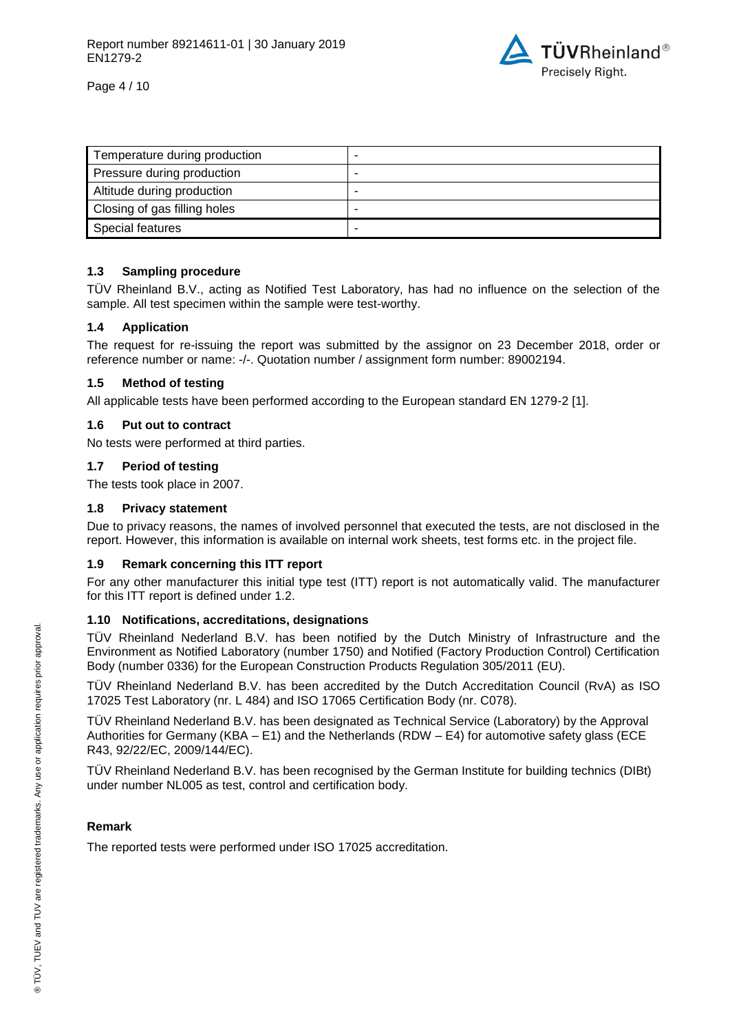

Page 4 / 10

| Temperature during production | - |
|-------------------------------|---|
| Pressure during production    | - |
| Altitude during production    | - |
| Closing of gas filling holes  | - |
| Special features              |   |

# **1.3 Sampling procedure**

TÜV Rheinland B.V., acting as Notified Test Laboratory, has had no influence on the selection of the sample. All test specimen within the sample were test-worthy.

# **1.4 Application**

The request for re-issuing the report was submitted by the assignor on 23 December 2018, order or reference number or name: -/-. Quotation number / assignment form number: 89002194.

## **1.5 Method of testing**

All applicable tests have been performed according to the European standard EN 1279-2 [1].

## **1.6 Put out to contract**

No tests were performed at third parties.

## **1.7 Period of testing**

The tests took place in 2007.

## **1.8 Privacy statement**

Due to privacy reasons, the names of involved personnel that executed the tests, are not disclosed in the report. However, this information is available on internal work sheets, test forms etc. in the project file.

# **1.9 Remark concerning this ITT report**

For any other manufacturer this initial type test (ITT) report is not automatically valid. The manufacturer for this ITT report is defined under 1.2.

# **1.10 Notifications, accreditations, designations**

TÜV Rheinland Nederland B.V. has been notified by the Dutch Ministry of Infrastructure and the Environment as Notified Laboratory (number 1750) and Notified (Factory Production Control) Certification Body (number 0336) for the European Construction Products Regulation 305/2011 (EU).

TÜV Rheinland Nederland B.V. has been accredited by the Dutch Accreditation Council (RvA) as ISO 17025 Test Laboratory (nr. L 484) and ISO 17065 Certification Body (nr. C078).

TÜV Rheinland Nederland B.V. has been designated as Technical Service (Laboratory) by the Approval Authorities for Germany (KBA – E1) and the Netherlands (RDW – E4) for automotive safety glass (ECE R43, 92/22/EC, 2009/144/EC).

TÜV Rheinland Nederland B.V. has been recognised by the German Institute for building technics (DIBt) under number NL005 as test, control and certification body.

# **Remark**

The reported tests were performed under ISO 17025 accreditation.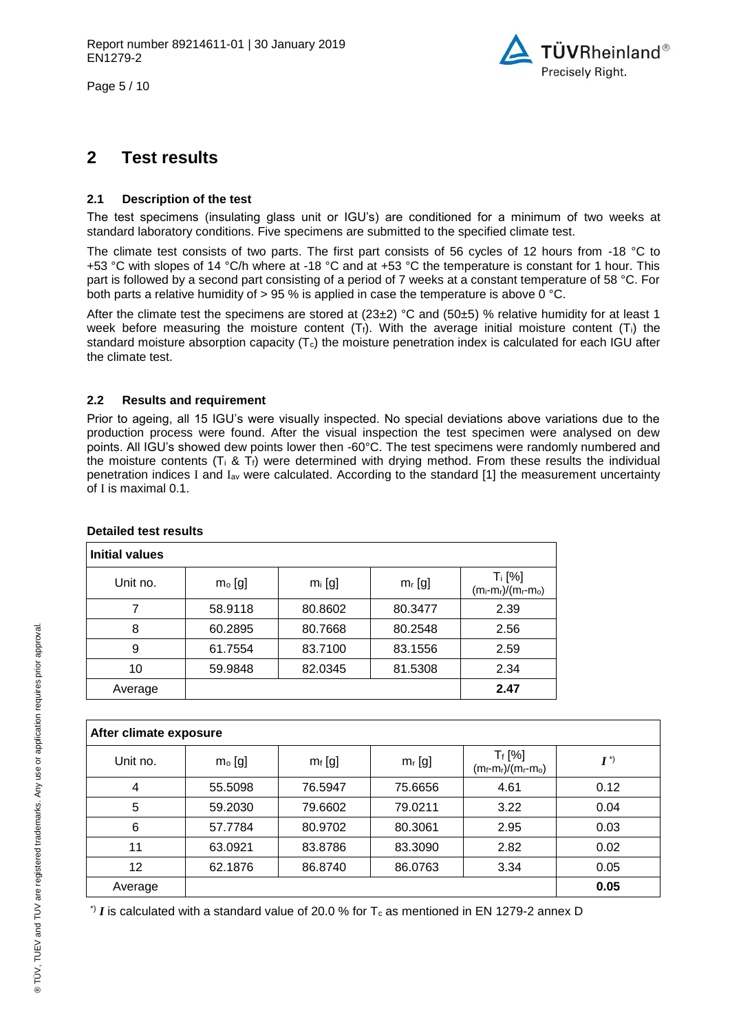Page 5 / 10



# **2 Test results**

## **2.1 Description of the test**

The test specimens (insulating glass unit or IGU's) are conditioned for a minimum of two weeks at standard laboratory conditions. Five specimens are submitted to the specified climate test.

The climate test consists of two parts. The first part consists of 56 cycles of 12 hours from -18 °C to +53 °C with slopes of 14 °C/h where at -18 °C and at +53 °C the temperature is constant for 1 hour. This part is followed by a second part consisting of a period of 7 weeks at a constant temperature of 58 °C. For both parts a relative humidity of  $> 95$  % is applied in case the temperature is above 0 °C.

After the climate test the specimens are stored at (23±2) °C and (50±5) % relative humidity for at least 1 week before measuring the moisture content (Tt). With the average initial moisture content (Ti) the standard moisture absorption capacity  $(T_c)$  the moisture penetration index is calculated for each IGU after the climate test.

## **2.2 Results and requirement**

Prior to ageing, all 15 IGU's were visually inspected. No special deviations above variations due to the production process were found. After the visual inspection the test specimen were analysed on dew points. All IGU's showed dew points lower then -60°C. The test specimens were randomly numbered and the moisture contents ( $T_i \& T_f$ ) were determined with drying method. From these results the individual penetration indices I and Iav were calculated. According to the standard [1] the measurement uncertainty of I is maximal 0.1.

| <b>Initial values</b> |          |           |           |                                    |
|-----------------------|----------|-----------|-----------|------------------------------------|
| Unit no.              | $mo$ [g] | $m_i$ [g] | $m_r$ [g] | $T_i$ [%]<br>$(m_i-m_r)/(m_r-m_o)$ |
|                       | 58.9118  | 80.8602   | 80.3477   | 2.39                               |
| 8                     | 60.2895  | 80.7668   | 80.2548   | 2.56                               |
| 9                     | 61.7554  | 83.7100   | 83.1556   | 2.59                               |
| 10                    | 59.9848  | 82.0345   | 81.5308   | 2.34                               |
| Average               |          |           |           | 2.47                               |

#### **Detailed test results**

| After climate exposure |          |           |           |                                        |            |
|------------------------|----------|-----------|-----------|----------------------------------------|------------|
| Unit no.               | $mo$ [g] | $m_f$ [g] | $m_r$ [g] | $T_f$ [%]<br>$(m_f - m_r)/(m_r - m_o)$ | $I^{\ast}$ |
| 4                      | 55,5098  | 76.5947   | 75.6656   | 4.61                                   | 0.12       |
| 5                      | 59.2030  | 79.6602   | 79.0211   | 3.22                                   | 0.04       |
| 6                      | 57.7784  | 80.9702   | 80.3061   | 2.95                                   | 0.03       |
| 11                     | 63.0921  | 83.8786   | 83.3090   | 2.82                                   | 0.02       |
| 12                     | 62.1876  | 86.8740   | 86.0763   | 3.34                                   | 0.05       |
| Average                |          |           |           |                                        | 0.05       |

 $\cdot$ ) *I* is calculated with a standard value of 20.0 % for T<sub>c</sub> as mentioned in EN 1279-2 annex D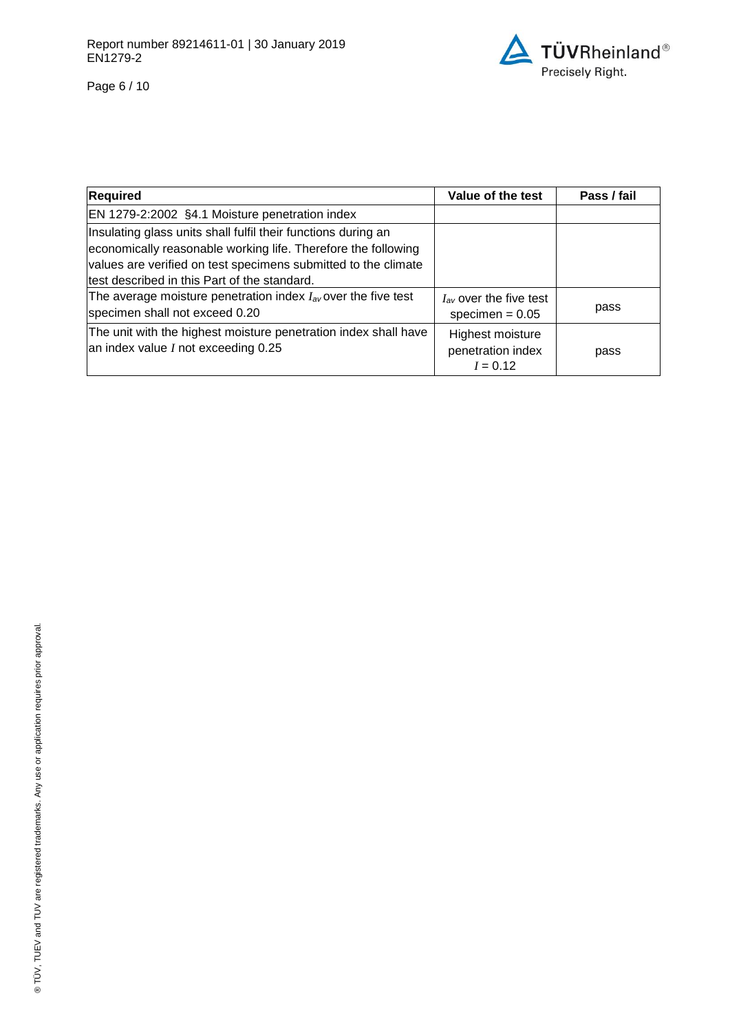

Page 6 / 10

| <b>Required</b>                                                                                                                                                                                                                                  | Value of the test                                   | Pass / fail |
|--------------------------------------------------------------------------------------------------------------------------------------------------------------------------------------------------------------------------------------------------|-----------------------------------------------------|-------------|
| EN 1279-2:2002 §4.1 Moisture penetration index                                                                                                                                                                                                   |                                                     |             |
| Insulating glass units shall fulfil their functions during an<br>economically reasonable working life. Therefore the following<br>values are verified on test specimens submitted to the climate<br>test described in this Part of the standard. |                                                     |             |
| The average moisture penetration index $I_{av}$ over the five test<br>specimen shall not exceed 0.20                                                                                                                                             | $I_{av}$ over the five test<br>specimen = $0.05$    | pass        |
| The unit with the highest moisture penetration index shall have<br>an index value I not exceeding 0.25                                                                                                                                           | Highest moisture<br>penetration index<br>$I = 0.12$ | pass        |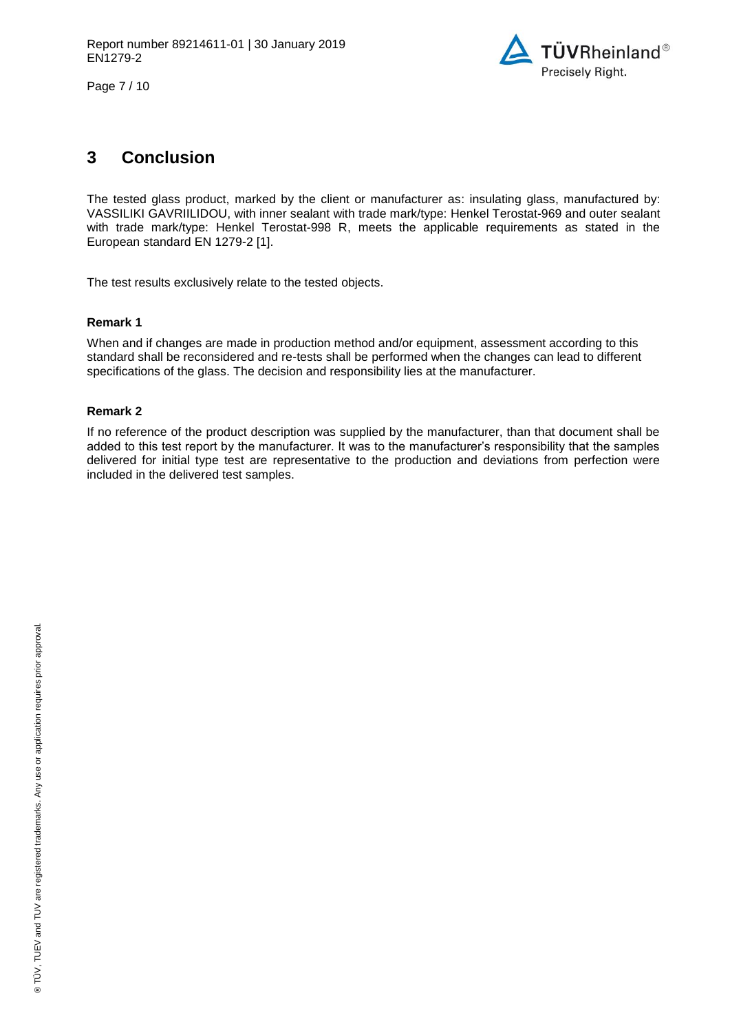

Page 7 / 10

# **3 Conclusion**

The tested glass product, marked by the client or manufacturer as: [insulating glass,](#page-0-8) manufactured by: VASSILIKI [GAVRIILIDOU,](#page-0-3) with inner sealant with trade mark/type: [Henkel Terostat-969](#page-2-0) and outer sealant with trade mark/type: [Henkel Terostat-998 R,](#page-2-1) meets the applicable requirements as stated in the European standard EN 1279-2 [1].

The test results exclusively relate to the tested objects.

# **Remark 1**

When and if changes are made in production method and/or equipment, assessment according to this standard shall be reconsidered and re-tests shall be performed when the changes can lead to different specifications of the glass. The decision and responsibility lies at the manufacturer.

# **Remark 2**

If no reference of the product description was supplied by the manufacturer, than that document shall be added to this test report by the manufacturer. It was to the manufacturer's responsibility that the samples delivered for initial type test are representative to the production and deviations from perfection were included in the delivered test samples.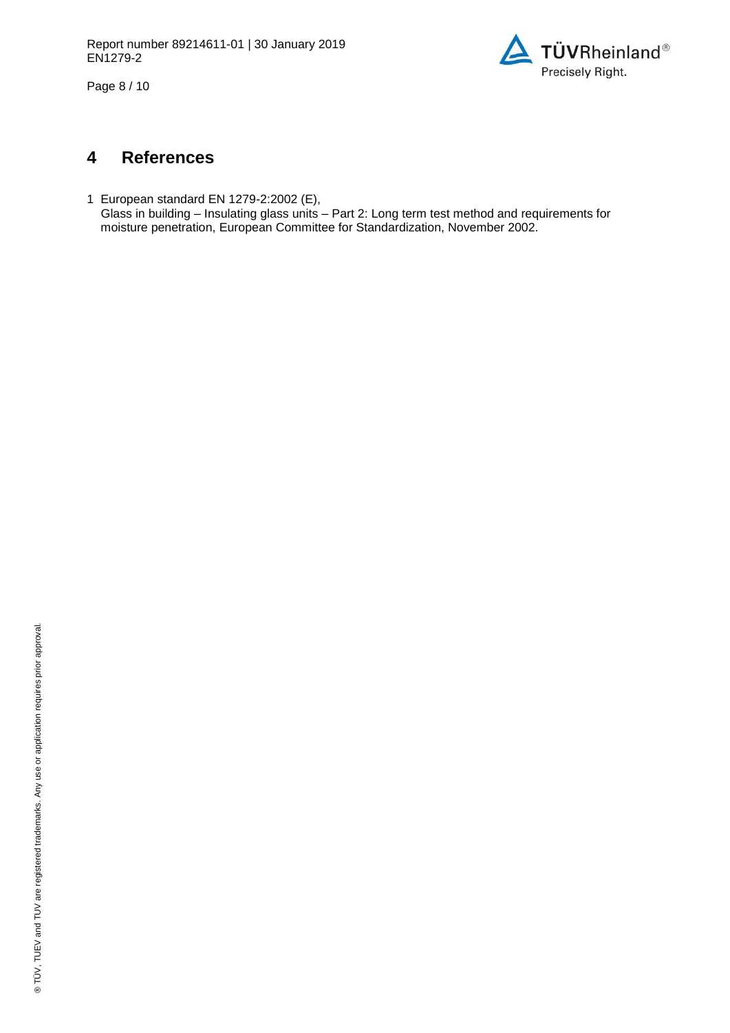

Page 8 / 10

# **4 References**

1 European standard EN 1279-2:2002 (E), Glass in building – Insulating glass units – Part 2: Long term test method and requirements for moisture penetration, European Committee for Standardization, November 2002.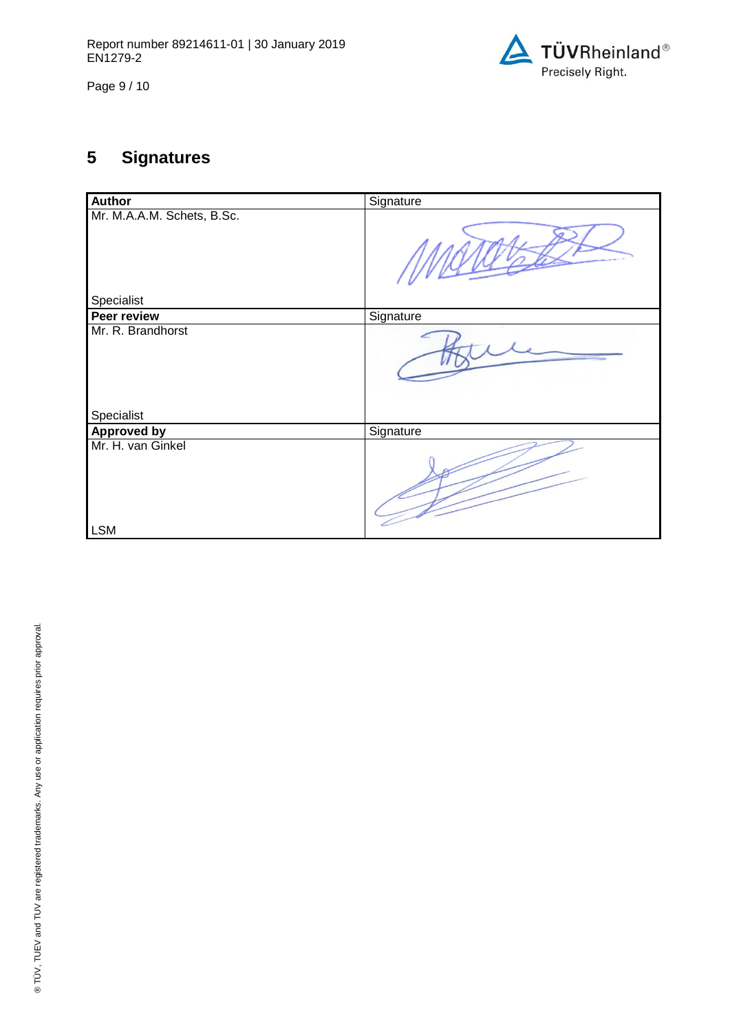

Page 9 / 10

# **5 Signatures**

| Author                          | Signature |
|---------------------------------|-----------|
| Mr. M.A.A.M. Schets, B.Sc.      |           |
| Specialist                      |           |
| Peer review                     | Signature |
| Mr. R. Brandhorst<br>Specialist |           |
|                                 |           |
| <b>Approved by</b>              | Signature |
| Mr. H. van Ginkel               |           |
| <b>LSM</b>                      |           |